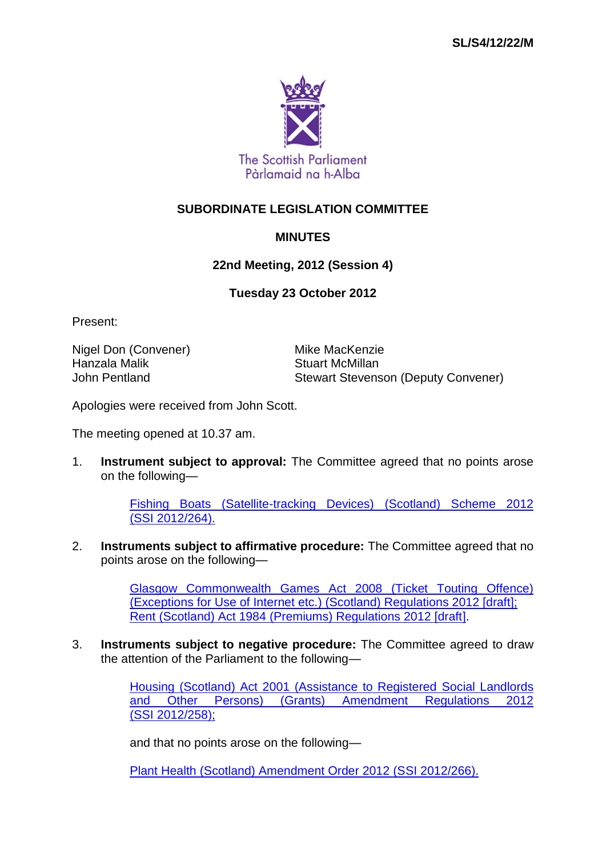

## **SUBORDINATE LEGISLATION COMMITTEE**

## **MINUTES**

## **22nd Meeting, 2012 (Session 4)**

## **Tuesday 23 October 2012**

Present:

Nigel Don (Convener) Mike MacKenzie Hanzala Malik Stuart McMillan

John Pentland Stewart Stevenson (Deputy Convener)

Apologies were received from John Scott.

The meeting opened at 10.37 am.

1. **Instrument subject to approval:** The Committee agreed that no points arose on the following—

> [Fishing Boats \(Satellite-tracking Devices\) \(Scotland\) Scheme 2012](http://www.legislation.gov.uk/ssi/2012/264/contents/made)  (SSI [2012/264\).](http://www.legislation.gov.uk/ssi/2012/264/contents/made)

2. **Instruments subject to affirmative procedure:** The Committee agreed that no points arose on the following—

> [Glasgow Commonwealth Games Act 2008 \(Ticket Touting Offence\)](http://www.legislation.gov.uk/sdsi/2012/9780111018002/contents)  [\(Exceptions for Use of Internet etc.\) \(Scotland\) Regulations 2012 \[draft\];](http://www.legislation.gov.uk/sdsi/2012/9780111018002/contents) [Rent \(Scotland\) Act 1984 \(Premiums\) Regulations 2012 \[draft\].](http://www.legislation.gov.uk/sdsi/2012/9780111018026/contents)

3. **Instruments subject to negative procedure:** The Committee agreed to draw the attention of the Parliament to the following—

> [Housing \(Scotland\) Act 2001 \(Assistance to Registered](http://www.legislation.gov.uk/ssi/2012/258/contents/made) Social Landlords [and Other Persons\) \(Grants\) Amendment Regulations 2012](http://www.legislation.gov.uk/ssi/2012/258/contents/made)  (SSI [2012/258\);](http://www.legislation.gov.uk/ssi/2012/258/contents/made)

and that no points arose on the following—

[Plant Health \(Scotland\) Amendment Order 2012 \(SSI](http://www.legislation.gov.uk/ssi/2012/266/contents/made) 2012/266).